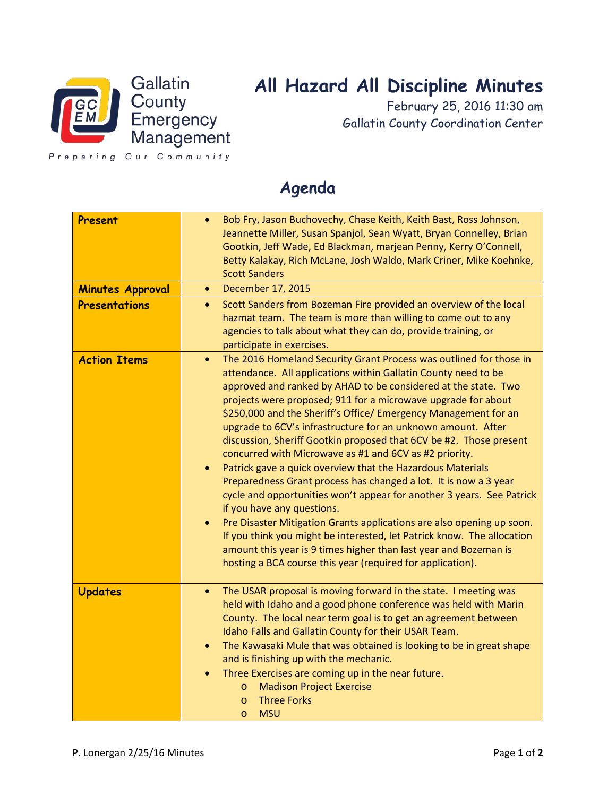

## **All Hazard All Discipline Minutes**

February 25, 2016 11:30 am Gallatin County Coordination Center

Preparing Our Community

## **Agenda**

| Present<br><b>Minutes Approval</b><br><b>Presentations</b> | Bob Fry, Jason Buchovechy, Chase Keith, Keith Bast, Ross Johnson,<br>$\bullet$<br>Jeannette Miller, Susan Spanjol, Sean Wyatt, Bryan Connelley, Brian<br>Gootkin, Jeff Wade, Ed Blackman, marjean Penny, Kerry O'Connell,<br>Betty Kalakay, Rich McLane, Josh Waldo, Mark Criner, Mike Koehnke,<br><b>Scott Sanders</b><br>December 17, 2015<br>$\bullet$<br>Scott Sanders from Bozeman Fire provided an overview of the local<br>$\bullet$<br>hazmat team. The team is more than willing to come out to any<br>agencies to talk about what they can do, provide training, or<br>participate in exercises.                                                                                                                                                                                                                                                                                                                                                                                                                                                                                                      |
|------------------------------------------------------------|-----------------------------------------------------------------------------------------------------------------------------------------------------------------------------------------------------------------------------------------------------------------------------------------------------------------------------------------------------------------------------------------------------------------------------------------------------------------------------------------------------------------------------------------------------------------------------------------------------------------------------------------------------------------------------------------------------------------------------------------------------------------------------------------------------------------------------------------------------------------------------------------------------------------------------------------------------------------------------------------------------------------------------------------------------------------------------------------------------------------|
| <b>Action Items</b>                                        | The 2016 Homeland Security Grant Process was outlined for those in<br>$\bullet$<br>attendance. All applications within Gallatin County need to be<br>approved and ranked by AHAD to be considered at the state. Two<br>projects were proposed; 911 for a microwave upgrade for about<br>\$250,000 and the Sheriff's Office/ Emergency Management for an<br>upgrade to 6CV's infrastructure for an unknown amount. After<br>discussion, Sheriff Gootkin proposed that 6CV be #2. Those present<br>concurred with Microwave as #1 and 6CV as #2 priority.<br>Patrick gave a quick overview that the Hazardous Materials<br>$\bullet$<br>Preparedness Grant process has changed a lot. It is now a 3 year<br>cycle and opportunities won't appear for another 3 years. See Patrick<br>if you have any questions.<br>Pre Disaster Mitigation Grants applications are also opening up soon.<br>$\bullet$<br>If you think you might be interested, let Patrick know. The allocation<br>amount this year is 9 times higher than last year and Bozeman is<br>hosting a BCA course this year (required for application). |
| <b>Updates</b>                                             | The USAR proposal is moving forward in the state. I meeting was<br>$\bullet$<br>held with Idaho and a good phone conference was held with Marin<br>County. The local near term goal is to get an agreement between<br>Idaho Falls and Gallatin County for their USAR Team.<br>The Kawasaki Mule that was obtained is looking to be in great shape<br>$\bullet$<br>and is finishing up with the mechanic.<br>Three Exercises are coming up in the near future.<br><b>Madison Project Exercise</b><br>$\circ$<br><b>Three Forks</b><br>$\circ$<br><b>MSU</b><br>$\circ$                                                                                                                                                                                                                                                                                                                                                                                                                                                                                                                                           |